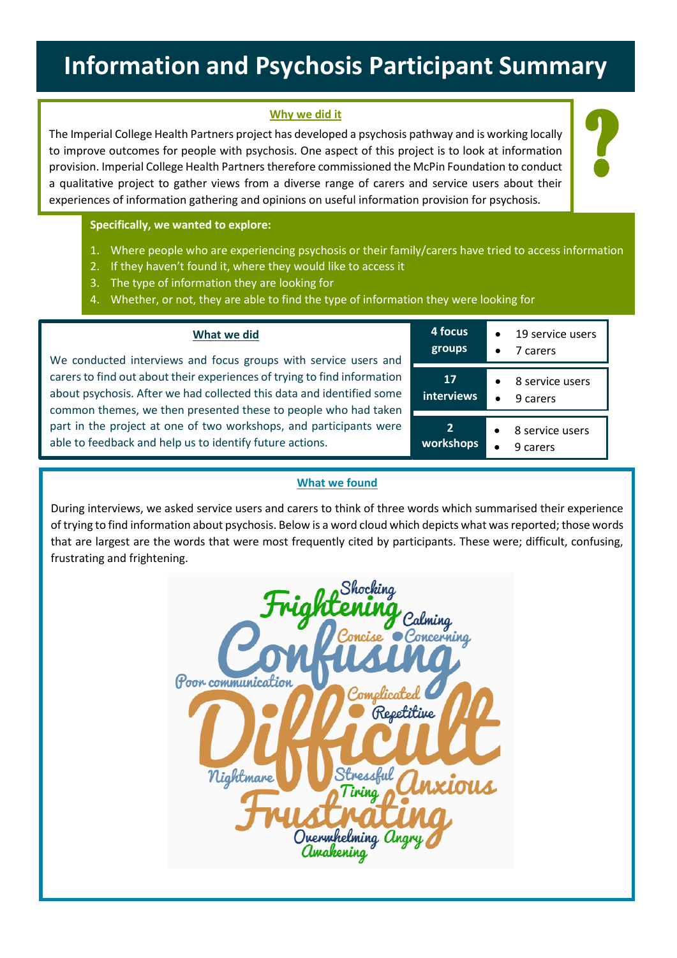# **Information and Psychosis Participant Summary**

## **Why we did it**

The Imperial College Health Partners project has developed a psychosis pathway and is working locally to improve outcomes for people with psychosis. One aspect of this project is to look at information provision. Imperial College Health Partners therefore commissioned the McPin Foundation to conduct a qualitative project to gather views from a diverse range of carers and service users about their experiences of information gathering and opinions on useful information provision for psychosis.

**Specifically, we wanted to explore:**

- 1. Where people who are experiencing psychosis or their family/carers have tried to access information
- 2. If they haven't found it, where they would like to access it
- 3. The type of information they are looking for
- 4. Whether, or not, they are able to find the type of information they were looking for

| We conducted interviews and focus groups with service users and          |
|--------------------------------------------------------------------------|
| carers to find out about their experiences of trying to find information |
| about psychosis. After we had collected this data and identified some    |
| common themes, we then presented these to people who had taken           |
| part in the project at one of two workshops, and participants were       |
| able to feedback and help us to identify future actions.                 |
|                                                                          |

**What we did**

| 4 focus<br>groups           | 19 service users<br>7 carers |
|-----------------------------|------------------------------|
| 17<br><b>interviews</b>     | 8 service users<br>9 carers  |
| $\overline{2}$<br>workshops | 8 service users<br>9 carers  |

?

#### **What we found**

During interviews, we asked service users and carers to think of three words which summarised their experience of trying to find information about psychosis. Below is a word cloud which depicts what was reported; those words that are largest are the words that were most frequently cited by participants. These were; difficult, confusing, frustrating and frightening.

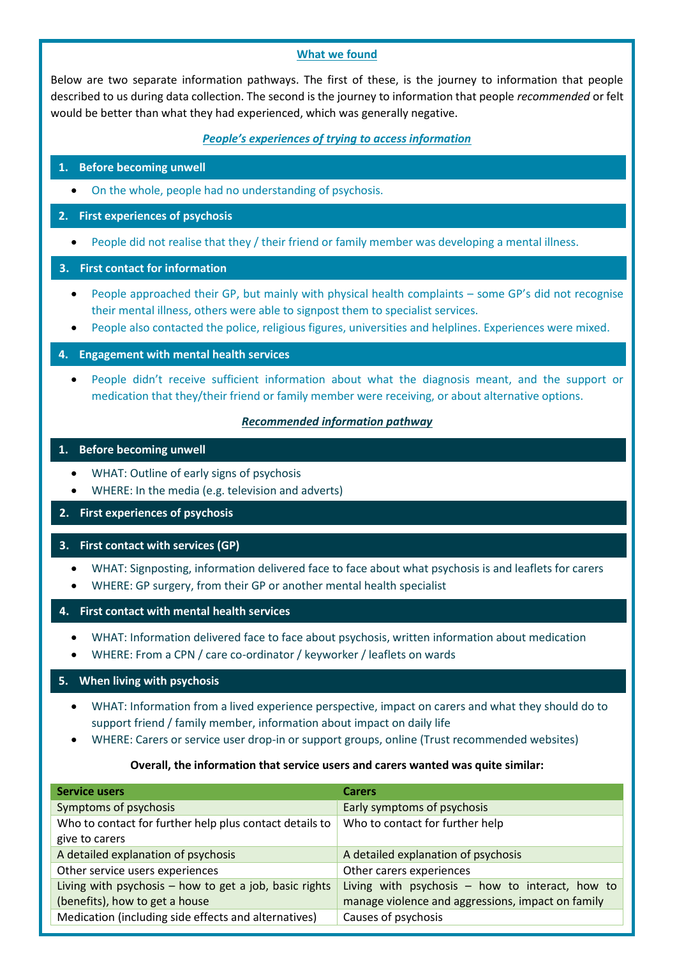#### **What we found**

Below are two separate information pathways. The first of these, is the journey to information that people described to us during data collection. The second is the journey to information that people *recommended* or felt would be better than what they had experienced, which was generally negative.

#### *People's experiences of trying to access information*

## **1. Before becoming unwell**

On the whole, people had no understanding of psychosis.

## **2. First experiences of psychosis**

People did not realise that they / their friend or family member was developing a mental illness.

#### **3. First contact for information**

- People approached their GP, but mainly with physical health complaints some GP's did not recognise their mental illness, others were able to signpost them to specialist services.
- People also contacted the police, religious figures, universities and helplines. Experiences were mixed.

#### **4. Engagement with mental health services**

 People didn't receive sufficient information about what the diagnosis meant, and the support or medication that they/their friend or family member were receiving, or about alternative options.

#### *Recommended information pathway*

#### **1. Before becoming unwell**

- WHAT: Outline of early signs of psychosis
- WHERE: In the media (e.g. television and adverts)

#### **2. First experiences of psychosis**

# **3. First contact with services (GP)**

- WHAT: Signposting, information delivered face to face about what psychosis is and leaflets for carers
- WHERE: GP surgery, from their GP or another mental health specialist

#### **4. First contact with mental health services**

- WHAT: Information delivered face to face about psychosis, written information about medication
- WHERE: From a CPN / care co-ordinator / keyworker / leaflets on wards

## **5. When living with psychosis**

- WHAT: Information from a lived experience perspective, impact on carers and what they should do to support friend / family member, information about impact on daily life
- WHERE: Carers or service user drop-in or support groups, online (Trust recommended websites)

#### **Overall, the information that service users and carers wanted was quite similar:**

| <b>Service users</b>                                    | <b>Carers</b>                                     |
|---------------------------------------------------------|---------------------------------------------------|
| Symptoms of psychosis                                   | Early symptoms of psychosis                       |
| Who to contact for further help plus contact details to | Who to contact for further help                   |
| give to carers                                          |                                                   |
| A detailed explanation of psychosis                     | A detailed explanation of psychosis               |
| Other service users experiences                         | Other carers experiences                          |
| Living with psychosis - how to get a job, basic rights  | Living with psychosis $-$ how to interact, how to |
| (benefits), how to get a house                          | manage violence and aggressions, impact on family |
| Medication (including side effects and alternatives)    | Causes of psychosis                               |